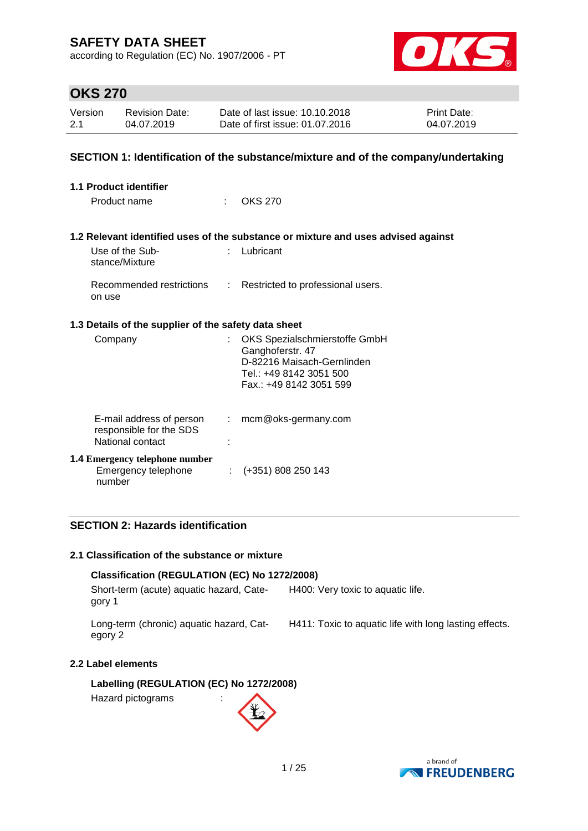according to Regulation (EC) No. 1907/2006 - PT



### **OKS 270**

| Version | <b>Revision Date:</b> | Date of last issue: 10.10.2018  | <b>Print Date:</b> |
|---------|-----------------------|---------------------------------|--------------------|
| 2.1     | 04.07.2019            | Date of first issue: 01.07.2016 | 04.07.2019         |

### **SECTION 1: Identification of the substance/mixture and of the company/undertaking**

| <b>1.1 Product identifier</b>                                           |                             |                                                                                                                                       |
|-------------------------------------------------------------------------|-----------------------------|---------------------------------------------------------------------------------------------------------------------------------------|
| Product name                                                            | $\mathbf{r}_{\mathrm{max}}$ | OKS 270                                                                                                                               |
|                                                                         |                             |                                                                                                                                       |
|                                                                         |                             | 1.2 Relevant identified uses of the substance or mixture and uses advised against                                                     |
| Use of the Sub-<br>stance/Mixture                                       |                             | Lubricant                                                                                                                             |
| Recommended restrictions<br>on use                                      |                             | Restricted to professional users.                                                                                                     |
| 1.3 Details of the supplier of the safety data sheet                    |                             |                                                                                                                                       |
| Company                                                                 |                             | OKS Spezialschmierstoffe GmbH<br>Ganghoferstr. 47<br>D-82216 Maisach-Gernlinden<br>Tel.: +49 8142 3051 500<br>Fax.: +49 8142 3051 599 |
| E-mail address of person<br>responsible for the SDS<br>National contact | ÷                           | mcm@oks-germany.com                                                                                                                   |
| <b>1.4 Emergency telephone number</b><br>Emergency telephone<br>number  |                             | (+351) 808 250 143                                                                                                                    |

### **SECTION 2: Hazards identification**

#### **2.1 Classification of the substance or mixture**

### **Classification (REGULATION (EC) No 1272/2008)**

Short-term (acute) aquatic hazard, Category 1 H400: Very toxic to aquatic life.

Long-term (chronic) aquatic hazard, Category 2

H411: Toxic to aquatic life with long lasting effects.

### **2.2 Label elements**

**Labelling (REGULATION (EC) No 1272/2008)**

Hazard pictograms :



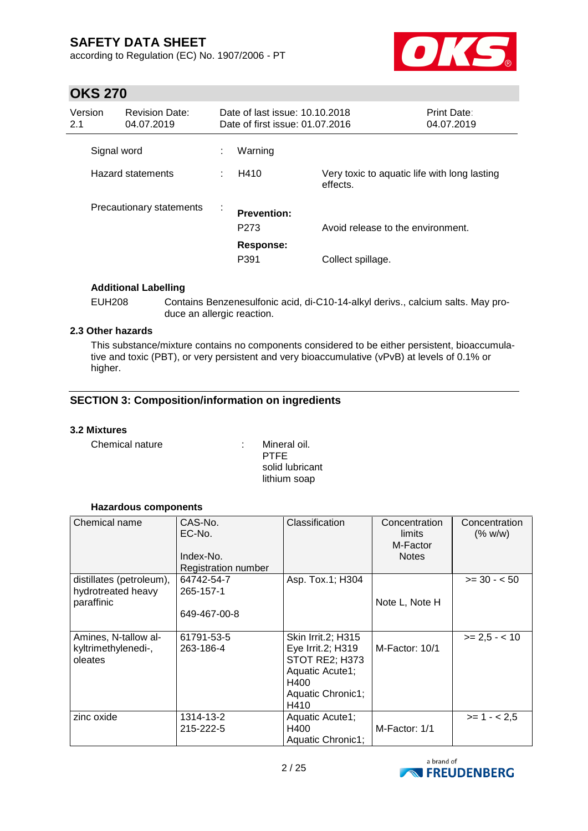according to Regulation (EC) No. 1907/2006 - PT



## **OKS 270**

| Version<br>2.1 | <b>Revision Date:</b><br>04.07.2019 |   | Date of last issue: 10.10.2018<br>Date of first issue: 01.07.2016 |                                                          | <b>Print Date:</b><br>04.07.2019 |
|----------------|-------------------------------------|---|-------------------------------------------------------------------|----------------------------------------------------------|----------------------------------|
|                | Signal word                         | ÷ | Warning                                                           |                                                          |                                  |
|                | Hazard statements                   |   | H410                                                              | Very toxic to aquatic life with long lasting<br>effects. |                                  |
|                | Precautionary statements            | ÷ | <b>Prevention:</b><br>P <sub>273</sub>                            | Avoid release to the environment.                        |                                  |
|                |                                     |   | Response:<br>P391                                                 | Collect spillage.                                        |                                  |

### **Additional Labelling**

EUH208 Contains Benzenesulfonic acid, di-C10-14-alkyl derivs., calcium salts. May produce an allergic reaction.

### **2.3 Other hazards**

This substance/mixture contains no components considered to be either persistent, bioaccumulative and toxic (PBT), or very persistent and very bioaccumulative (vPvB) at levels of 0.1% or higher.

### **SECTION 3: Composition/information on ingredients**

#### **3.2 Mixtures**

Chemical nature : Mineral oil.

PTFE solid lubricant lithium soap

#### **Hazardous components**

| Chemical name                                                | CAS-No.<br>EC-No.<br>Index-No.<br>Registration number | Classification                                                                                                    | Concentration<br>limits<br>M-Factor<br><b>Notes</b> | Concentration<br>(% w/w) |
|--------------------------------------------------------------|-------------------------------------------------------|-------------------------------------------------------------------------------------------------------------------|-----------------------------------------------------|--------------------------|
| distillates (petroleum),<br>hydrotreated heavy<br>paraffinic | 64742-54-7<br>265-157-1<br>649-467-00-8               | Asp. Tox.1; H304                                                                                                  | Note L, Note H                                      | $>= 30 - 50$             |
| Amines, N-tallow al-<br>kyltrimethylenedi-,<br>oleates       | 61791-53-5<br>263-186-4                               | Skin Irrit.2; H315<br>Eye Irrit.2; H319<br>STOT RE2; H373<br>Aquatic Acute1;<br>H400<br>Aquatic Chronic1;<br>H410 | M-Factor: 10/1                                      | $>= 2.5 - < 10$          |
| zinc oxide                                                   | 1314-13-2<br>215-222-5                                | Aquatic Acute1;<br>H400<br>Aquatic Chronic1;                                                                      | M-Factor: 1/1                                       | $>= 1 - 2.5$             |

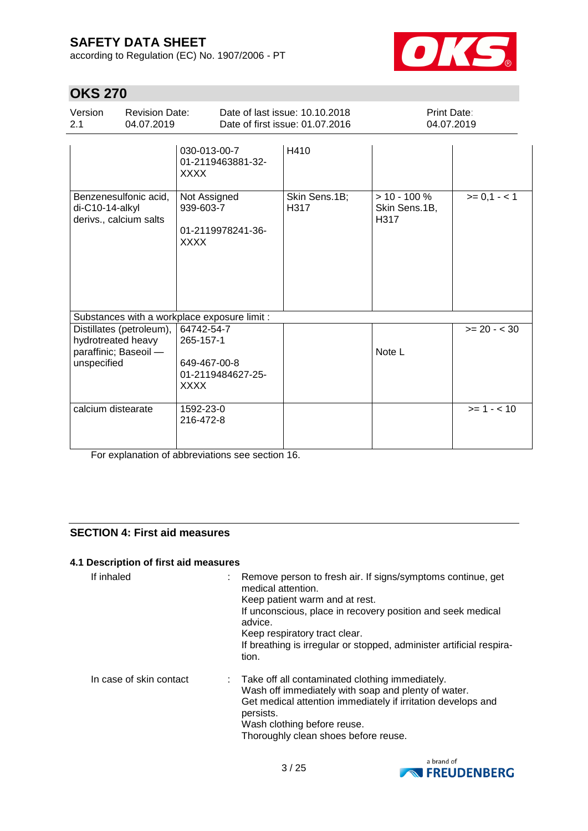according to Regulation (EC) No. 1907/2006 - PT



# **OKS 270**

| Version<br>2.1                                             | <b>Revision Date:</b><br>04.07.2019 |                                                                             | Date of last issue: 10.10.2018<br>Date of first issue: 01.07.2016 |                                          | <b>Print Date:</b><br>04.07.2019 |  |
|------------------------------------------------------------|-------------------------------------|-----------------------------------------------------------------------------|-------------------------------------------------------------------|------------------------------------------|----------------------------------|--|
|                                                            |                                     | 030-013-00-7<br>01-2119463881-32-<br><b>XXXX</b>                            | H410                                                              |                                          |                                  |  |
| di-C10-14-alkyl<br>derivs., calcium salts                  | Benzenesulfonic acid,               | Not Assigned<br>939-603-7<br>01-2119978241-36-<br><b>XXXX</b>               | Skin Sens.1B;<br>H <sub>317</sub>                                 | $> 10 - 100 \%$<br>Skin Sens.1B,<br>H317 | $>= 0, 1 - 1$                    |  |
|                                                            |                                     | Substances with a workplace exposure limit :                                |                                                                   |                                          |                                  |  |
| hydrotreated heavy<br>paraffinic; Baseoil -<br>unspecified | Distillates (petroleum),            | 64742-54-7<br>265-157-1<br>649-467-00-8<br>01-2119484627-25-<br><b>XXXX</b> |                                                                   | Note L                                   | $>= 20 - < 30$                   |  |
| calcium distearate                                         |                                     | 1592-23-0<br>216-472-8                                                      |                                                                   |                                          | $>= 1 - 10$                      |  |

For explanation of abbreviations see section 16.

### **SECTION 4: First aid measures**

#### **4.1 Description of first aid measures**

| If inhaled              | : Remove person to fresh air. If signs/symptoms continue, get<br>medical attention.<br>Keep patient warm and at rest.<br>If unconscious, place in recovery position and seek medical<br>advice.<br>Keep respiratory tract clear.<br>If breathing is irregular or stopped, administer artificial respira-<br>tion. |
|-------------------------|-------------------------------------------------------------------------------------------------------------------------------------------------------------------------------------------------------------------------------------------------------------------------------------------------------------------|
| In case of skin contact | : Take off all contaminated clothing immediately.<br>Wash off immediately with soap and plenty of water.<br>Get medical attention immediately if irritation develops and<br>persists.<br>Wash clothing before reuse.<br>Thoroughly clean shoes before reuse.                                                      |

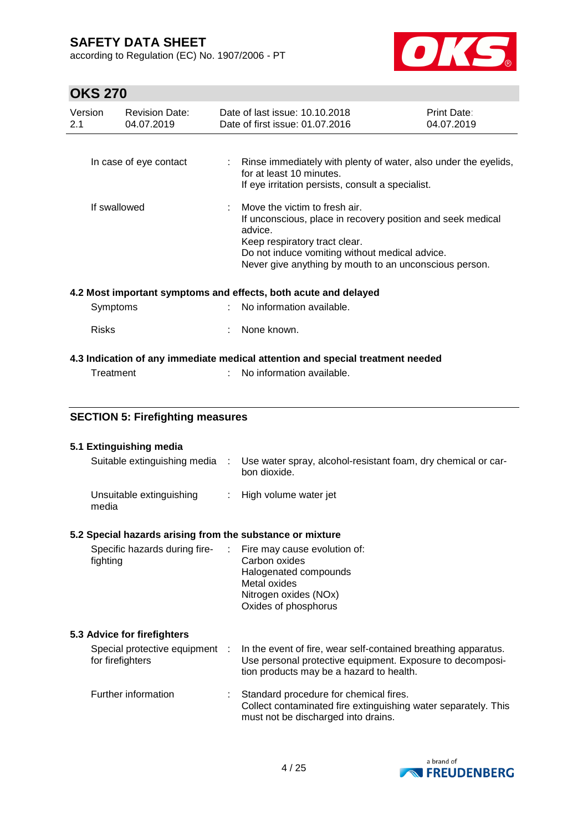according to Regulation (EC) No. 1907/2006 - PT



| <b>OKS 270</b> |                                                           |      |                                                                                                                                                                                                                                                      |                                  |  |  |
|----------------|-----------------------------------------------------------|------|------------------------------------------------------------------------------------------------------------------------------------------------------------------------------------------------------------------------------------------------------|----------------------------------|--|--|
| Version<br>2.1 | <b>Revision Date:</b><br>04.07.2019                       |      | Date of last issue: 10.10.2018<br>Date of first issue: 01.07.2016                                                                                                                                                                                    | <b>Print Date:</b><br>04.07.2019 |  |  |
|                | In case of eye contact                                    |      | : Rinse immediately with plenty of water, also under the eyelids,<br>for at least 10 minutes.<br>If eye irritation persists, consult a specialist.                                                                                                   |                                  |  |  |
| If swallowed   |                                                           |      | Move the victim to fresh air.<br>If unconscious, place in recovery position and seek medical<br>advice.<br>Keep respiratory tract clear.<br>Do not induce vomiting without medical advice.<br>Never give anything by mouth to an unconscious person. |                                  |  |  |
|                |                                                           |      | 4.2 Most important symptoms and effects, both acute and delayed                                                                                                                                                                                      |                                  |  |  |
|                | Symptoms                                                  |      | No information available.                                                                                                                                                                                                                            |                                  |  |  |
|                | <b>Risks</b>                                              |      | None known.                                                                                                                                                                                                                                          |                                  |  |  |
|                |                                                           |      | 4.3 Indication of any immediate medical attention and special treatment needed                                                                                                                                                                       |                                  |  |  |
|                | Treatment                                                 |      | No information available.                                                                                                                                                                                                                            |                                  |  |  |
|                |                                                           |      |                                                                                                                                                                                                                                                      |                                  |  |  |
|                | <b>SECTION 5: Firefighting measures</b>                   |      |                                                                                                                                                                                                                                                      |                                  |  |  |
|                | 5.1 Extinguishing media                                   |      |                                                                                                                                                                                                                                                      |                                  |  |  |
|                | Suitable extinguishing media                              | - 11 | Use water spray, alcohol-resistant foam, dry chemical or car-<br>bon dioxide.                                                                                                                                                                        |                                  |  |  |
|                | Unsuitable extinguishing<br>media                         | ÷.   | High volume water jet                                                                                                                                                                                                                                |                                  |  |  |
|                | 5.2 Special hazards arising from the substance or mixture |      |                                                                                                                                                                                                                                                      |                                  |  |  |
|                | Specific hazards during fire-<br>fighting                 |      | Fire may cause evolution of:<br>Carbon oxides<br>Halogenated compounds<br>Metal oxides<br>Nitrogen oxides (NOx)<br>Oxides of phosphorus                                                                                                              |                                  |  |  |
|                | 5.3 Advice for firefighters                               |      |                                                                                                                                                                                                                                                      |                                  |  |  |
|                | Special protective equipment<br>for firefighters          |      | In the event of fire, wear self-contained breathing apparatus.<br>Use personal protective equipment. Exposure to decomposi-<br>tion products may be a hazard to health.                                                                              |                                  |  |  |
|                | Further information                                       |      | Standard procedure for chemical fires.<br>Collect contaminated fire extinguishing water separately. This<br>must not be discharged into drains.                                                                                                      |                                  |  |  |

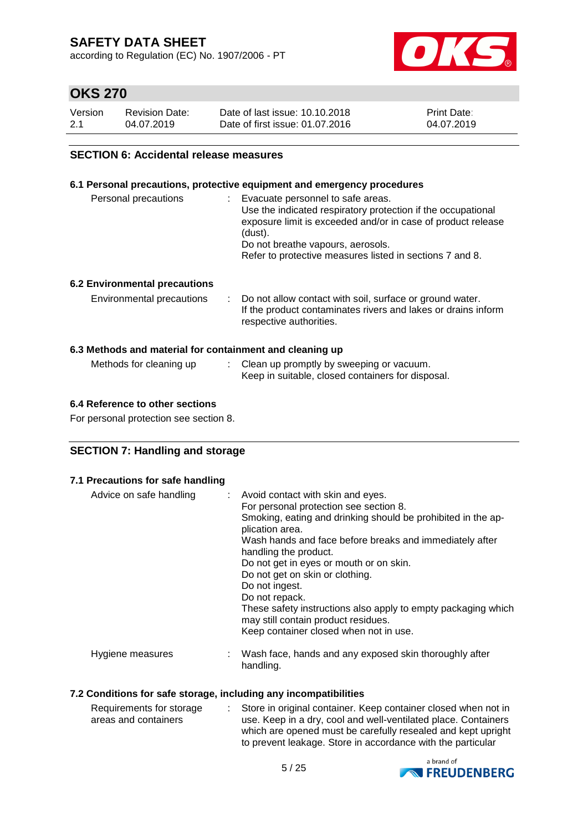according to Regulation (EC) No. 1907/2006 - PT



## **OKS 270**

| Version | <b>Revision Date:</b> | Date of last issue: 10.10.2018  | <b>Print Date:</b> |
|---------|-----------------------|---------------------------------|--------------------|
| 2.1     | 04.07.2019            | Date of first issue: 01.07.2016 | 04.07.2019         |

#### **SECTION 6: Accidental release measures**

#### **6.1 Personal precautions, protective equipment and emergency procedures**

| Personal precautions                                     | : Evacuate personnel to safe areas.<br>Use the indicated respiratory protection if the occupational<br>exposure limit is exceeded and/or in case of product release<br>(dust).<br>Do not breathe vapours, aerosols.<br>Refer to protective measures listed in sections 7 and 8. |
|----------------------------------------------------------|---------------------------------------------------------------------------------------------------------------------------------------------------------------------------------------------------------------------------------------------------------------------------------|
| <b>6.2 Environmental precautions</b>                     |                                                                                                                                                                                                                                                                                 |
| Environmental precautions                                | : Do not allow contact with soil, surface or ground water.<br>If the product contaminates rivers and lakes or drains inform<br>respective authorities.                                                                                                                          |
| 6.3 Methods and material for containment and cleaning up |                                                                                                                                                                                                                                                                                 |
| Methods for cleaning up                                  | : Clean up promptly by sweeping or vacuum.                                                                                                                                                                                                                                      |

Keep in suitable, closed containers for disposal.

# **6.4 Reference to other sections**

For personal protection see section 8.

#### **SECTION 7: Handling and storage**

#### **7.1 Precautions for safe handling**

| Advice on safe handling | : Avoid contact with skin and eyes.<br>For personal protection see section 8.<br>Smoking, eating and drinking should be prohibited in the ap-<br>plication area.<br>Wash hands and face before breaks and immediately after<br>handling the product.<br>Do not get in eyes or mouth or on skin.<br>Do not get on skin or clothing.<br>Do not ingest.<br>Do not repack.<br>These safety instructions also apply to empty packaging which<br>may still contain product residues.<br>Keep container closed when not in use. |
|-------------------------|--------------------------------------------------------------------------------------------------------------------------------------------------------------------------------------------------------------------------------------------------------------------------------------------------------------------------------------------------------------------------------------------------------------------------------------------------------------------------------------------------------------------------|
| Hygiene measures        | : Wash face, hands and any exposed skin thoroughly after<br>handling.                                                                                                                                                                                                                                                                                                                                                                                                                                                    |

#### **7.2 Conditions for safe storage, including any incompatibilities**

| Requirements for storage | : Store in original container. Keep container closed when not in                                                            |
|--------------------------|-----------------------------------------------------------------------------------------------------------------------------|
| areas and containers     | use. Keep in a dry, cool and well-ventilated place. Containers                                                              |
|                          | which are opened must be carefully resealed and kept upright<br>to prevent leakage. Store in accordance with the particular |

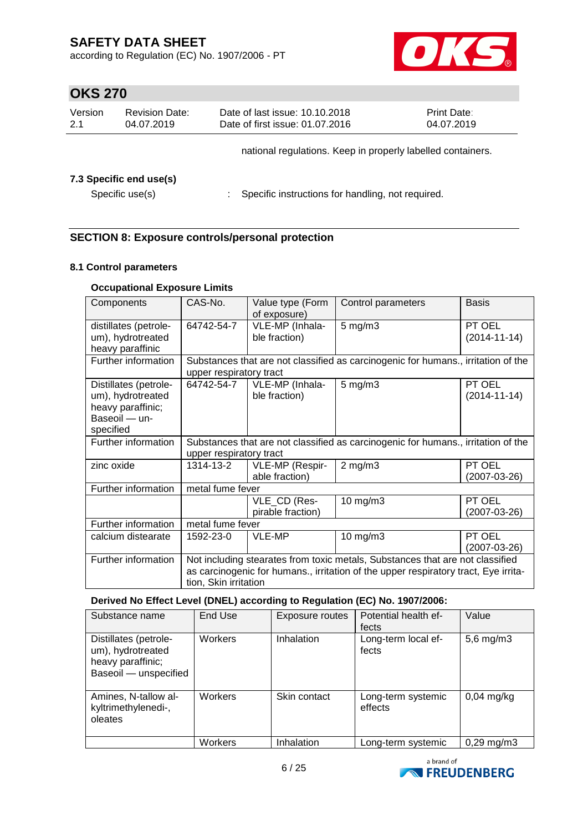according to Regulation (EC) No. 1907/2006 - PT



# **OKS 270**

| Version<br>2.1 | <b>Revision Date:</b><br>04.07.2019        | Date of last issue: 10.10.2018<br>Date of first issue: 01.07.2016 | <b>Print Date:</b><br>04.07.2019 |  |
|----------------|--------------------------------------------|-------------------------------------------------------------------|----------------------------------|--|
|                |                                            | national regulations. Keep in properly labelled containers.       |                                  |  |
|                | 7.3 Specific end use(s)<br>Specific use(s) | Specific instructions for handling, not required.                 |                                  |  |

### **SECTION 8: Exposure controls/personal protection**

### **8.1 Control parameters**

### **Occupational Exposure Limits**

| Components                                                                                    | CAS-No.                                                                                                                                                                                       | Value type (Form<br>of exposure)  | Control parameters                                                                | <b>Basis</b>                 |
|-----------------------------------------------------------------------------------------------|-----------------------------------------------------------------------------------------------------------------------------------------------------------------------------------------------|-----------------------------------|-----------------------------------------------------------------------------------|------------------------------|
| distillates (petrole-<br>um), hydrotreated<br>heavy paraffinic                                | 64742-54-7                                                                                                                                                                                    | VLE-MP (Inhala-<br>ble fraction)  | $5 \text{ mg/m}$ 3                                                                | PT OEL<br>$(2014 - 11 - 14)$ |
| Further information                                                                           | upper respiratory tract                                                                                                                                                                       |                                   | Substances that are not classified as carcinogenic for humans., irritation of the |                              |
| Distillates (petrole-<br>um), hydrotreated<br>heavy paraffinic;<br>Baseoil - un-<br>specified | 64742-54-7                                                                                                                                                                                    | VLE-MP (Inhala-<br>ble fraction)  | $5$ mg/m $3$                                                                      | PT OEL<br>$(2014 - 11 - 14)$ |
| Further information                                                                           | upper respiratory tract                                                                                                                                                                       |                                   | Substances that are not classified as carcinogenic for humans., irritation of the |                              |
| zinc oxide                                                                                    | 1314-13-2                                                                                                                                                                                     | VLE-MP (Respir-<br>able fraction) | $2$ mg/m $3$                                                                      | PT OEL<br>(2007-03-26)       |
| Further information                                                                           | metal fume fever                                                                                                                                                                              |                                   |                                                                                   |                              |
|                                                                                               |                                                                                                                                                                                               | VLE_CD (Res-<br>pirable fraction) | 10 mg/m3                                                                          | PT OEL<br>(2007-03-26)       |
| Further information                                                                           | metal fume fever                                                                                                                                                                              |                                   |                                                                                   |                              |
| calcium distearate                                                                            | 1592-23-0                                                                                                                                                                                     | VLE-MP                            | 10 mg/m3                                                                          | PT OEL<br>(2007-03-26)       |
| Further information                                                                           | Not including stearates from toxic metals, Substances that are not classified<br>as carcinogenic for humans., irritation of the upper respiratory tract, Eye irrita-<br>tion, Skin irritation |                                   |                                                                                   |                              |

### **Derived No Effect Level (DNEL) according to Regulation (EC) No. 1907/2006:**

| Substance name                                                                           | End Use | Exposure routes | Potential health ef-<br>fects | Value                  |
|------------------------------------------------------------------------------------------|---------|-----------------|-------------------------------|------------------------|
| Distillates (petrole-<br>um), hydrotreated<br>heavy paraffinic;<br>Baseoil - unspecified | Workers | Inhalation      | Long-term local ef-<br>fects  | $5,6$ mg/m $3$         |
| Amines, N-tallow al-<br>kyltrimethylenedi-,<br>oleates                                   | Workers | Skin contact    | Long-term systemic<br>effects | $0,04$ mg/kg           |
|                                                                                          | Workers | Inhalation      | Long-term systemic            | $0,29 \,\mathrm{mg/m}$ |

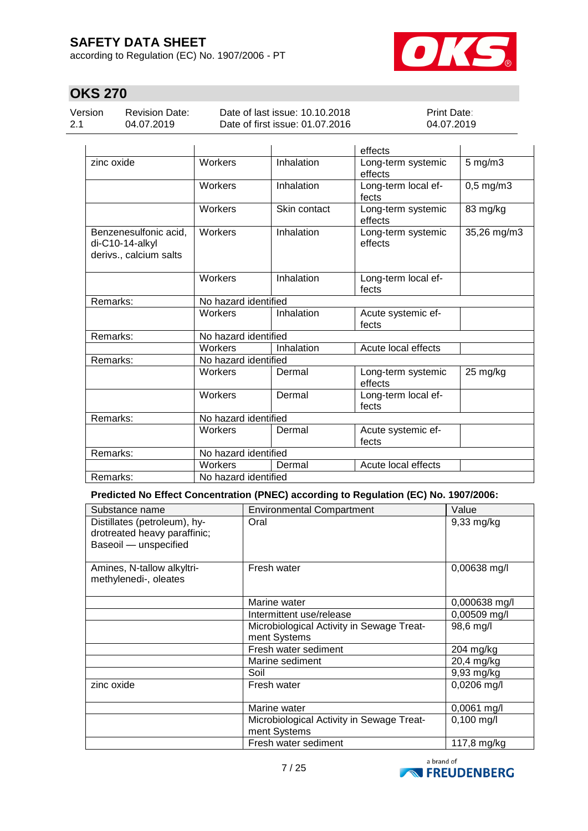according to Regulation (EC) No. 1907/2006 - PT



# **OKS 270**

Version 2.1

Revision Date: 04.07.2019

Date of last issue: 10.10.2018 Date of first issue: 01.07.2016 Print Date: 04.07.2019

|                                                                    |                      |              | effects                       |                |  |  |  |
|--------------------------------------------------------------------|----------------------|--------------|-------------------------------|----------------|--|--|--|
| zinc oxide                                                         | Workers              | Inhalation   | Long-term systemic<br>effects | $5$ mg/m $3$   |  |  |  |
|                                                                    | Workers              | Inhalation   | Long-term local ef-<br>fects  | $0,5$ mg/m $3$ |  |  |  |
|                                                                    | Workers              | Skin contact | Long-term systemic<br>effects | 83 mg/kg       |  |  |  |
| Benzenesulfonic acid,<br>di-C10-14-alkyl<br>derivs., calcium salts | Workers              | Inhalation   | Long-term systemic<br>effects | 35,26 mg/m3    |  |  |  |
|                                                                    | Workers              | Inhalation   | Long-term local ef-<br>fects  |                |  |  |  |
| Remarks:                                                           | No hazard identified |              |                               |                |  |  |  |
|                                                                    | Workers              | Inhalation   | Acute systemic ef-<br>fects   |                |  |  |  |
| Remarks:                                                           | No hazard identified |              |                               |                |  |  |  |
|                                                                    | Workers              | Inhalation   | Acute local effects           |                |  |  |  |
| Remarks:                                                           | No hazard identified |              |                               |                |  |  |  |
|                                                                    | Workers              | Dermal       | Long-term systemic<br>effects | 25 mg/kg       |  |  |  |
|                                                                    | Workers              | Dermal       | Long-term local ef-<br>fects  |                |  |  |  |
| Remarks:                                                           | No hazard identified |              |                               |                |  |  |  |
|                                                                    | Workers              | Dermal       | Acute systemic ef-<br>fects   |                |  |  |  |
| Remarks:                                                           | No hazard identified |              |                               |                |  |  |  |
|                                                                    | Workers              | Dermal       | Acute local effects           |                |  |  |  |
| Remarks:                                                           | No hazard identified |              |                               |                |  |  |  |

**Predicted No Effect Concentration (PNEC) according to Regulation (EC) No. 1907/2006:**

| Substance name                                                                        | <b>Environmental Compartment</b>                          | Value         |
|---------------------------------------------------------------------------------------|-----------------------------------------------------------|---------------|
| Distillates (petroleum), hy-<br>drotreated heavy paraffinic;<br>Baseoil - unspecified | Oral                                                      | 9,33 mg/kg    |
| Amines, N-tallow alkyltri-<br>methylenedi-, oleates                                   | Fresh water                                               | 0,00638 mg/l  |
|                                                                                       | Marine water                                              | 0,000638 mg/l |
|                                                                                       | Intermittent use/release                                  | 0,00509 mg/l  |
|                                                                                       | Microbiological Activity in Sewage Treat-<br>ment Systems | 98,6 mg/l     |
|                                                                                       | Fresh water sediment                                      | 204 mg/kg     |
|                                                                                       | Marine sediment                                           | 20,4 mg/kg    |
|                                                                                       | Soil                                                      | $9,93$ mg/kg  |
| zinc oxide                                                                            | Fresh water                                               | 0,0206 mg/l   |
|                                                                                       | Marine water                                              | 0,0061 mg/l   |
|                                                                                       | Microbiological Activity in Sewage Treat-<br>ment Systems | $0,100$ mg/l  |
|                                                                                       | Fresh water sediment                                      | 117,8 mg/kg   |

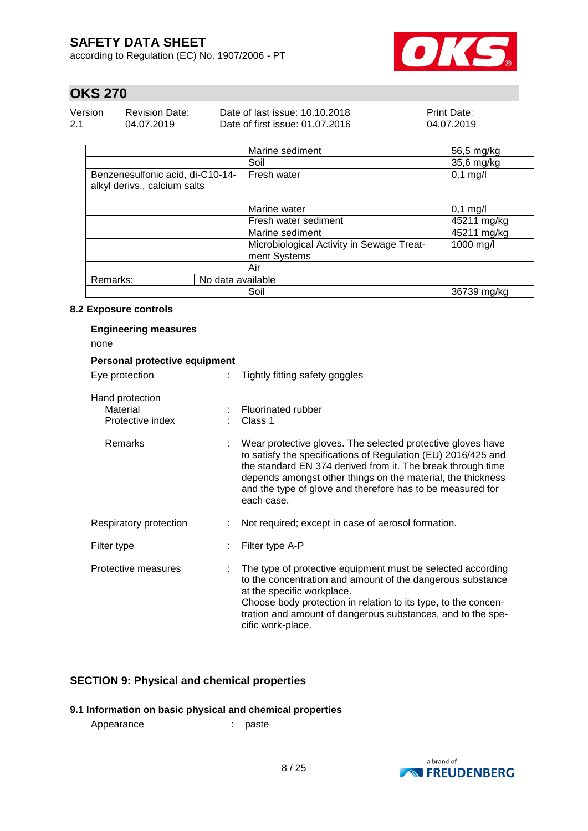according to Regulation (EC) No. 1907/2006 - PT



# **OKS 270**

| Version | Revision Date: | Date of last issue: 10.10.2018  | <b>Print Date:</b> |
|---------|----------------|---------------------------------|--------------------|
| 2.1     | 04.07.2019     | Date of first issue: 01.07.2016 | 04.07.2019         |

|                                                                  | Marine sediment                                           | 56,5 mg/kg  |
|------------------------------------------------------------------|-----------------------------------------------------------|-------------|
|                                                                  | Soil                                                      | 35,6 mg/kg  |
| Benzenesulfonic acid, di-C10-14-<br>alkyl derivs., calcium salts | Fresh water                                               | $0,1$ mg/l  |
|                                                                  | Marine water                                              | $0,1$ mg/l  |
|                                                                  | Fresh water sediment                                      | 45211 mg/kg |
|                                                                  | Marine sediment                                           | 45211 mg/kg |
|                                                                  | Microbiological Activity in Sewage Treat-<br>ment Systems | 1000 mg/l   |
|                                                                  | Air                                                       |             |
| Remarks:                                                         | No data available                                         |             |
|                                                                  | Soil                                                      | 36739 mg/kg |

### **8.2 Exposure controls**

| <b>Engineering measures</b><br>none             |                                                                                                                                                                                                                                                                                                                                        |
|-------------------------------------------------|----------------------------------------------------------------------------------------------------------------------------------------------------------------------------------------------------------------------------------------------------------------------------------------------------------------------------------------|
| Personal protective equipment                   |                                                                                                                                                                                                                                                                                                                                        |
| Eye protection                                  | Tightly fitting safety goggles                                                                                                                                                                                                                                                                                                         |
| Hand protection<br>Material<br>Protective index | : Fluorinated rubber<br>Class 1                                                                                                                                                                                                                                                                                                        |
| Remarks                                         | Wear protective gloves. The selected protective gloves have<br>to satisfy the specifications of Regulation (EU) 2016/425 and<br>the standard EN 374 derived from it. The break through time<br>depends amongst other things on the material, the thickness<br>and the type of glove and therefore has to be measured for<br>each case. |
| Respiratory protection                          | Not required; except in case of aerosol formation.                                                                                                                                                                                                                                                                                     |
| Filter type                                     | Filter type A-P                                                                                                                                                                                                                                                                                                                        |
| Protective measures                             | The type of protective equipment must be selected according<br>to the concentration and amount of the dangerous substance<br>at the specific workplace.<br>Choose body protection in relation to its type, to the concen-<br>tration and amount of dangerous substances, and to the spe-<br>cific work-place.                          |

### **SECTION 9: Physical and chemical properties**

### **9.1 Information on basic physical and chemical properties**

Appearance : paste

a brand of **EXPREUDENBERG**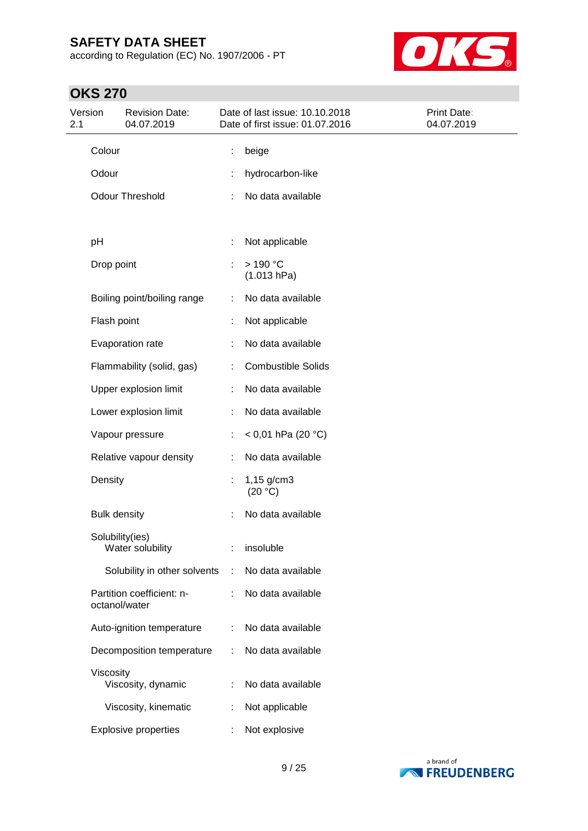according to Regulation (EC) No. 1907/2006 - PT



| Version<br>2.1 |                     | <b>Revision Date:</b><br>04.07.2019 |    | Date of last issue: 10.10.2018<br>Date of first issue: 01.07.2016 | Print Date:<br>04.07.2019 |
|----------------|---------------------|-------------------------------------|----|-------------------------------------------------------------------|---------------------------|
|                | Colour              |                                     | Ì, | beige                                                             |                           |
|                | Odour               |                                     | t  | hydrocarbon-like                                                  |                           |
|                |                     | <b>Odour Threshold</b>              |    | No data available                                                 |                           |
|                | pH                  |                                     | ÷  | Not applicable                                                    |                           |
|                | Drop point          |                                     | ÷  | $>190$ °C<br>(1.013 hPa)                                          |                           |
|                |                     | Boiling point/boiling range         | ÷  | No data available                                                 |                           |
|                | Flash point         |                                     |    | Not applicable                                                    |                           |
|                |                     | Evaporation rate                    |    | No data available                                                 |                           |
|                |                     | Flammability (solid, gas)           |    | <b>Combustible Solids</b>                                         |                           |
|                |                     | Upper explosion limit               |    | No data available                                                 |                           |
|                |                     | Lower explosion limit               | ÷  | No data available                                                 |                           |
|                |                     | Vapour pressure                     | ÷  | < 0,01 hPa (20 $^{\circ}$ C)                                      |                           |
|                |                     | Relative vapour density             |    | No data available                                                 |                           |
|                | Density             |                                     |    | $1,15$ g/cm3<br>(20 °C)                                           |                           |
|                | <b>Bulk density</b> |                                     |    | No data available                                                 |                           |
|                | Solubility(ies)     | Water solubility                    |    | insoluble                                                         |                           |
|                |                     | Solubility in other solvents        |    | No data available                                                 |                           |
|                | octanol/water       | Partition coefficient: n-           |    | No data available                                                 |                           |
|                |                     | Auto-ignition temperature           |    | No data available                                                 |                           |
|                |                     | Decomposition temperature           |    | No data available                                                 |                           |
|                | Viscosity           | Viscosity, dynamic                  |    | No data available                                                 |                           |
|                |                     | Viscosity, kinematic                |    | Not applicable                                                    |                           |
|                |                     | <b>Explosive properties</b>         |    | Not explosive                                                     |                           |

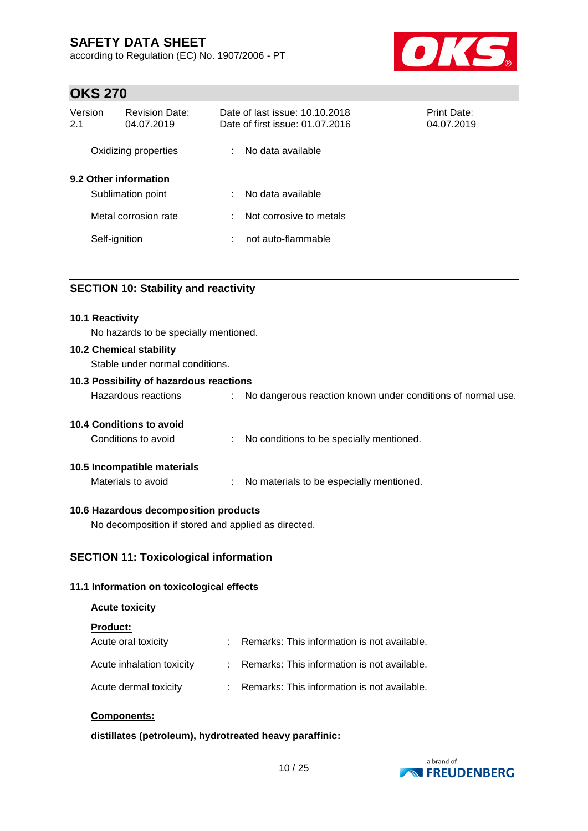according to Regulation (EC) No. 1907/2006 - PT



## **OKS 270**

| Version<br>2.1        | <b>Revision Date:</b><br>04.07.2019 |    | Date of last issue: 10.10.2018<br>Date of first issue: 01.07.2016 | <b>Print Date:</b><br>04.07.2019 |
|-----------------------|-------------------------------------|----|-------------------------------------------------------------------|----------------------------------|
|                       | Oxidizing properties                | ÷  | No data available                                                 |                                  |
| 9.2 Other information | Sublimation point                   | ÷  | No data available                                                 |                                  |
|                       | Metal corrosion rate                | ÷. | Not corrosive to metals                                           |                                  |
| Self-ignition         |                                     | ÷  | not auto-flammable                                                |                                  |

### **SECTION 10: Stability and reactivity**

| <b>10.1 Reactivity</b><br>No hazards to be specially mentioned.   |                                                                   |
|-------------------------------------------------------------------|-------------------------------------------------------------------|
| <b>10.2 Chemical stability</b><br>Stable under normal conditions. |                                                                   |
| 10.3 Possibility of hazardous reactions                           |                                                                   |
| Hazardous reactions                                               | No dangerous reaction known under conditions of normal use.<br>t. |
| 10.4 Conditions to avoid                                          |                                                                   |
| Conditions to avoid                                               | No conditions to be specially mentioned.                          |
| 10.5 Incompatible materials                                       |                                                                   |
| Materials to avoid                                                | No materials to be especially mentioned.<br>t.                    |
| 10.6 Hazardous decomposition products                             |                                                                   |

No decomposition if stored and applied as directed.

### **SECTION 11: Toxicological information**

#### **11.1 Information on toxicological effects**

### **Acute toxicity**

| Acute oral toxicity       |          | Remarks: This information is not available.   |
|---------------------------|----------|-----------------------------------------------|
| Acute inhalation toxicity |          | : Remarks: This information is not available. |
| Acute dermal toxicity     | <b>.</b> | Remarks: This information is not available.   |

#### **Components:**

#### **distillates (petroleum), hydrotreated heavy paraffinic:**

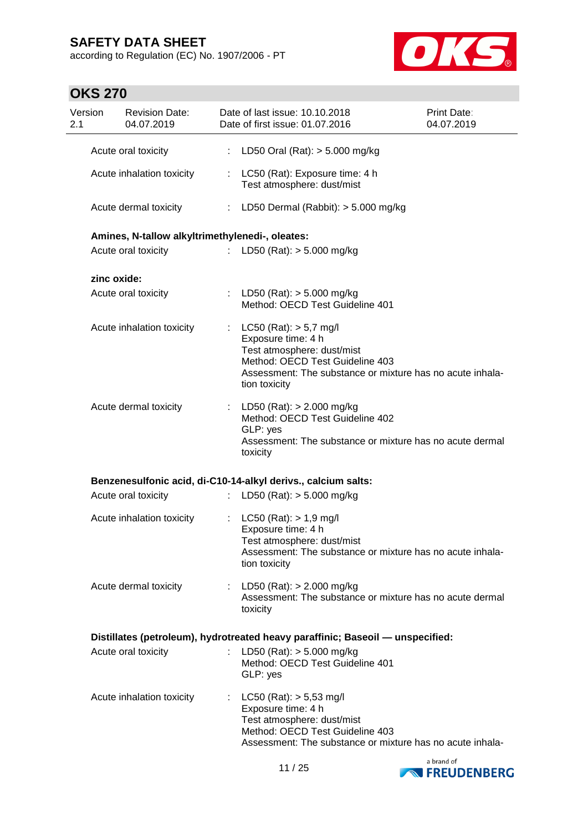according to Regulation (EC) No. 1907/2006 - PT



| Version<br>2.1 |             | <b>Revision Date:</b><br>04.07.2019             |                             | Date of last issue: 10.10.2018<br>Date of first issue: 01.07.2016                                                                                                                               | <b>Print Date:</b><br>04.07.2019 |
|----------------|-------------|-------------------------------------------------|-----------------------------|-------------------------------------------------------------------------------------------------------------------------------------------------------------------------------------------------|----------------------------------|
|                |             | Acute oral toxicity                             | t.                          | LD50 Oral (Rat): $> 5.000$ mg/kg                                                                                                                                                                |                                  |
|                |             | Acute inhalation toxicity                       |                             | : LC50 (Rat): Exposure time: 4 h<br>Test atmosphere: dust/mist                                                                                                                                  |                                  |
|                |             | Acute dermal toxicity                           |                             | : LD50 Dermal (Rabbit): $>$ 5.000 mg/kg                                                                                                                                                         |                                  |
|                |             | Amines, N-tallow alkyltrimethylenedi-, oleates: |                             |                                                                                                                                                                                                 |                                  |
|                |             | Acute oral toxicity                             |                             | : LD50 (Rat): $>$ 5.000 mg/kg                                                                                                                                                                   |                                  |
|                | zinc oxide: |                                                 |                             |                                                                                                                                                                                                 |                                  |
|                |             | Acute oral toxicity                             |                             | : LD50 (Rat): $>$ 5.000 mg/kg<br>Method: OECD Test Guideline 401                                                                                                                                |                                  |
|                |             | Acute inhalation toxicity                       |                             | : LC50 (Rat): $> 5.7$ mg/l<br>Exposure time: 4 h<br>Test atmosphere: dust/mist<br>Method: OECD Test Guideline 403<br>Assessment: The substance or mixture has no acute inhala-<br>tion toxicity |                                  |
|                |             | Acute dermal toxicity                           | $\mathcal{L}^{\mathcal{L}}$ | LD50 (Rat): > 2.000 mg/kg<br>Method: OECD Test Guideline 402<br>GLP: yes<br>Assessment: The substance or mixture has no acute dermal<br>toxicity                                                |                                  |
|                |             |                                                 |                             | Benzenesulfonic acid, di-C10-14-alkyl derivs., calcium salts:                                                                                                                                   |                                  |
|                |             | Acute oral toxicity                             |                             | LD50 (Rat): $> 5.000$ mg/kg                                                                                                                                                                     |                                  |
|                |             | Acute inhalation toxicity                       |                             | : LC50 (Rat): $> 1,9$ mg/l<br>Exposure time: 4 h<br>Test atmosphere: dust/mist<br>Assessment: The substance or mixture has no acute inhala-<br>tion toxicity                                    |                                  |
|                |             | Acute dermal toxicity                           |                             | LD50 (Rat): $> 2.000$ mg/kg<br>Assessment: The substance or mixture has no acute dermal<br>toxicity                                                                                             |                                  |
|                |             |                                                 |                             | Distillates (petroleum), hydrotreated heavy paraffinic; Baseoil - unspecified:                                                                                                                  |                                  |
|                |             | Acute oral toxicity                             | $\mathbb{R}^{\mathbb{Z}}$   | LD50 (Rat): $> 5.000$ mg/kg<br>Method: OECD Test Guideline 401<br>GLP: yes                                                                                                                      |                                  |
|                |             | Acute inhalation toxicity                       | $\mathbb{Z}^{\mathbb{Z}^n}$ | LC50 (Rat): $> 5,53$ mg/l<br>Exposure time: 4 h<br>Test atmosphere: dust/mist<br>Method: OECD Test Guideline 403<br>Assessment: The substance or mixture has no acute inhala-                   |                                  |

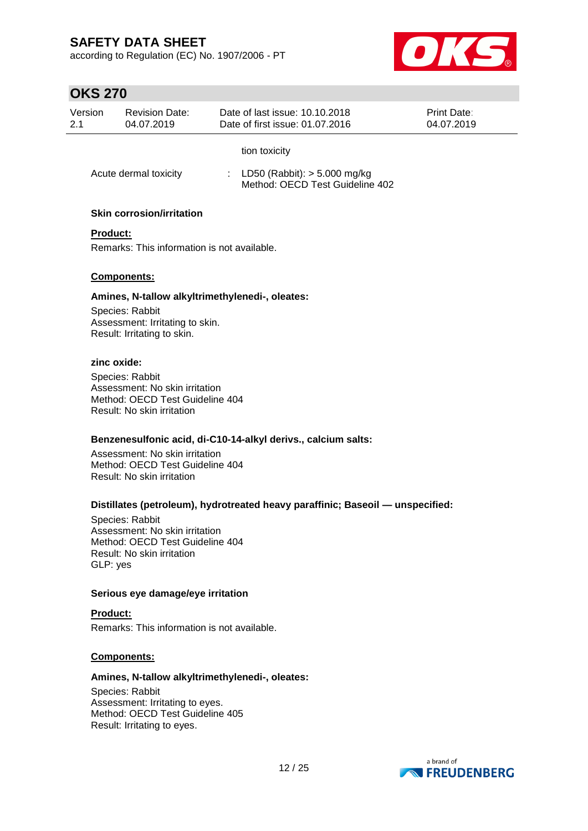according to Regulation (EC) No. 1907/2006 - PT



## **OKS 270**

| Version<br>2.1        | <b>Revision Date:</b><br>04.07.2019 | Date of last issue: 10.10.2018<br>Date of first issue: 01.07.2016   | <b>Print Date:</b><br>04.07.2019 |
|-----------------------|-------------------------------------|---------------------------------------------------------------------|----------------------------------|
|                       |                                     | tion toxicity                                                       |                                  |
| Acute dermal toxicity |                                     | : LD50 (Rabbit): $> 5.000$ mg/kg<br>Method: OECD Test Guideline 402 |                                  |

### **Skin corrosion/irritation**

### **Product:**

Remarks: This information is not available.

#### **Components:**

#### **Amines, N-tallow alkyltrimethylenedi-, oleates:**

Species: Rabbit Assessment: Irritating to skin. Result: Irritating to skin.

#### **zinc oxide:**

Species: Rabbit Assessment: No skin irritation Method: OECD Test Guideline 404 Result: No skin irritation

#### **Benzenesulfonic acid, di-C10-14-alkyl derivs., calcium salts:**

Assessment: No skin irritation Method: OECD Test Guideline 404 Result: No skin irritation

#### **Distillates (petroleum), hydrotreated heavy paraffinic; Baseoil — unspecified:**

Species: Rabbit Assessment: No skin irritation Method: OECD Test Guideline 404 Result: No skin irritation GLP: yes

#### **Serious eye damage/eye irritation**

**Product:** Remarks: This information is not available.

#### **Components:**

#### **Amines, N-tallow alkyltrimethylenedi-, oleates:**

Species: Rabbit Assessment: Irritating to eyes. Method: OECD Test Guideline 405 Result: Irritating to eyes.

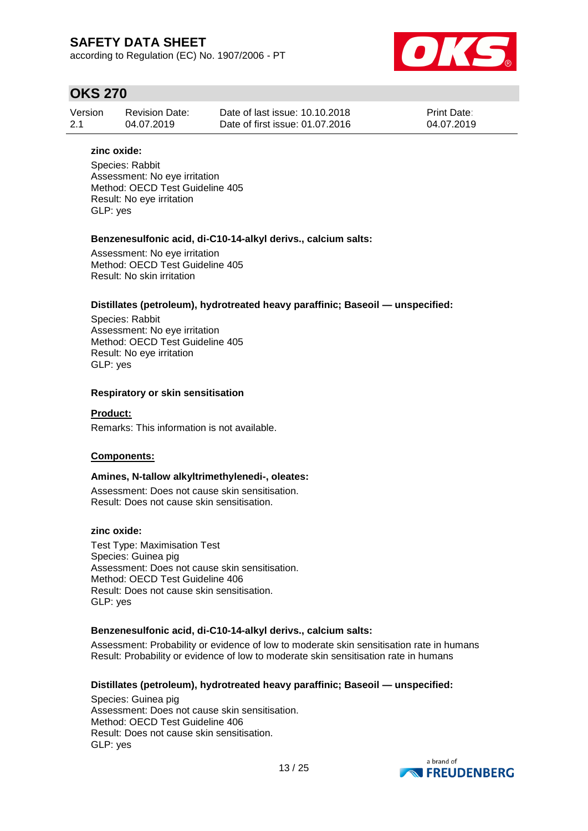according to Regulation (EC) No. 1907/2006 - PT



## **OKS 270**

| Version | Revision Date: | Date of last issue: 10.10.2018  | <b>Print Date:</b> |
|---------|----------------|---------------------------------|--------------------|
| 2.1     | 04.07.2019     | Date of first issue: 01.07.2016 | 04.07.2019         |

#### **zinc oxide:**

Species: Rabbit Assessment: No eye irritation Method: OECD Test Guideline 405 Result: No eye irritation GLP: yes

#### **Benzenesulfonic acid, di-C10-14-alkyl derivs., calcium salts:**

Assessment: No eye irritation Method: OECD Test Guideline 405 Result: No skin irritation

#### **Distillates (petroleum), hydrotreated heavy paraffinic; Baseoil — unspecified:**

Species: Rabbit Assessment: No eye irritation Method: OECD Test Guideline 405 Result: No eye irritation GLP: yes

#### **Respiratory or skin sensitisation**

#### **Product:**

Remarks: This information is not available.

#### **Components:**

#### **Amines, N-tallow alkyltrimethylenedi-, oleates:**

Assessment: Does not cause skin sensitisation. Result: Does not cause skin sensitisation.

#### **zinc oxide:**

Test Type: Maximisation Test Species: Guinea pig Assessment: Does not cause skin sensitisation. Method: OECD Test Guideline 406 Result: Does not cause skin sensitisation. GLP: yes

#### **Benzenesulfonic acid, di-C10-14-alkyl derivs., calcium salts:**

Assessment: Probability or evidence of low to moderate skin sensitisation rate in humans Result: Probability or evidence of low to moderate skin sensitisation rate in humans

### **Distillates (petroleum), hydrotreated heavy paraffinic; Baseoil — unspecified:**

Species: Guinea pig Assessment: Does not cause skin sensitisation. Method: OECD Test Guideline 406 Result: Does not cause skin sensitisation. GLP: yes

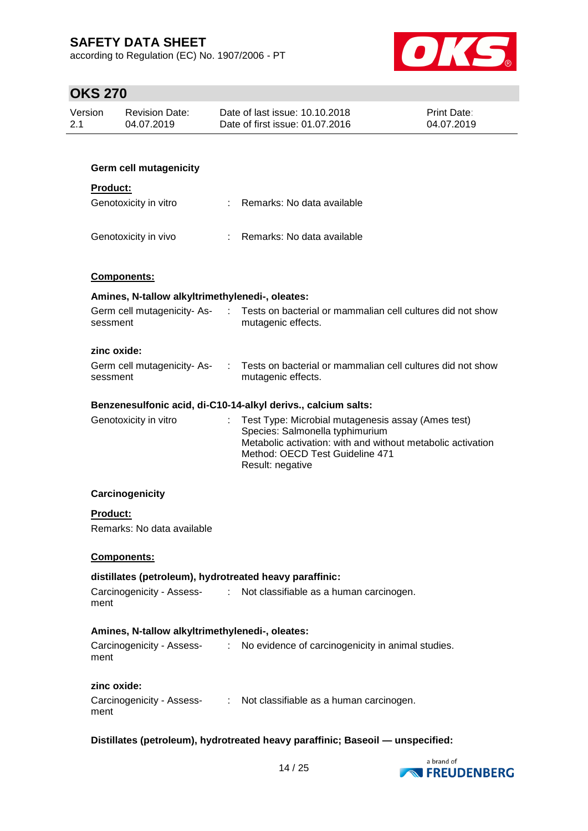according to Regulation (EC) No. 1907/2006 - PT



| Version<br>2.1  | <b>Revision Date:</b><br>04.07.2019             |            | Date of last issue: 10.10.2018<br>Date of first issue: 01.07.2016                                                                                                                                           | <b>Print Date:</b><br>04.07.2019 |
|-----------------|-------------------------------------------------|------------|-------------------------------------------------------------------------------------------------------------------------------------------------------------------------------------------------------------|----------------------------------|
|                 |                                                 |            |                                                                                                                                                                                                             |                                  |
|                 | <b>Germ cell mutagenicity</b>                   |            |                                                                                                                                                                                                             |                                  |
| <b>Product:</b> |                                                 |            |                                                                                                                                                                                                             |                                  |
|                 | Genotoxicity in vitro                           |            | : Remarks: No data available                                                                                                                                                                                |                                  |
|                 | Genotoxicity in vivo                            |            | : Remarks: No data available                                                                                                                                                                                |                                  |
|                 | Components:                                     |            |                                                                                                                                                                                                             |                                  |
|                 | Amines, N-tallow alkyltrimethylenedi-, oleates: |            |                                                                                                                                                                                                             |                                  |
| sessment        | Germ cell mutagenicity-As-                      | $\sim 100$ | Tests on bacterial or mammalian cell cultures did not show<br>mutagenic effects.                                                                                                                            |                                  |
| zinc oxide:     |                                                 |            |                                                                                                                                                                                                             |                                  |
| sessment        | Germ cell mutagenicity-As-                      |            | Tests on bacterial or mammalian cell cultures did not show<br>mutagenic effects.                                                                                                                            |                                  |
|                 |                                                 |            | Benzenesulfonic acid, di-C10-14-alkyl derivs., calcium salts:                                                                                                                                               |                                  |
|                 | Genotoxicity in vitro                           |            | Test Type: Microbial mutagenesis assay (Ames test)<br>Species: Salmonella typhimurium<br>Metabolic activation: with and without metabolic activation<br>Method: OECD Test Guideline 471<br>Result: negative |                                  |
|                 | Carcinogenicity                                 |            |                                                                                                                                                                                                             |                                  |
| Product:        |                                                 |            |                                                                                                                                                                                                             |                                  |
|                 | Remarks: No data available                      |            |                                                                                                                                                                                                             |                                  |
|                 | Components:                                     |            |                                                                                                                                                                                                             |                                  |
|                 |                                                 |            | distillates (petroleum), hydrotreated heavy paraffinic:                                                                                                                                                     |                                  |
| ment            | Carcinogenicity - Assess- :                     |            | Not classifiable as a human carcinogen.                                                                                                                                                                     |                                  |
|                 | Amines, N-tallow alkyltrimethylenedi-, oleates: |            |                                                                                                                                                                                                             |                                  |
| ment            |                                                 |            | Carcinogenicity - Assess- : No evidence of carcinogenicity in animal studies.                                                                                                                               |                                  |
| zinc oxide:     |                                                 |            |                                                                                                                                                                                                             |                                  |
| ment            |                                                 |            | Carcinogenicity - Assess- : Not classifiable as a human carcinogen.                                                                                                                                         |                                  |
|                 |                                                 |            | Distillates (petroleum), hydrotreated heavy paraffinic; Baseoil - unspecified:                                                                                                                              |                                  |

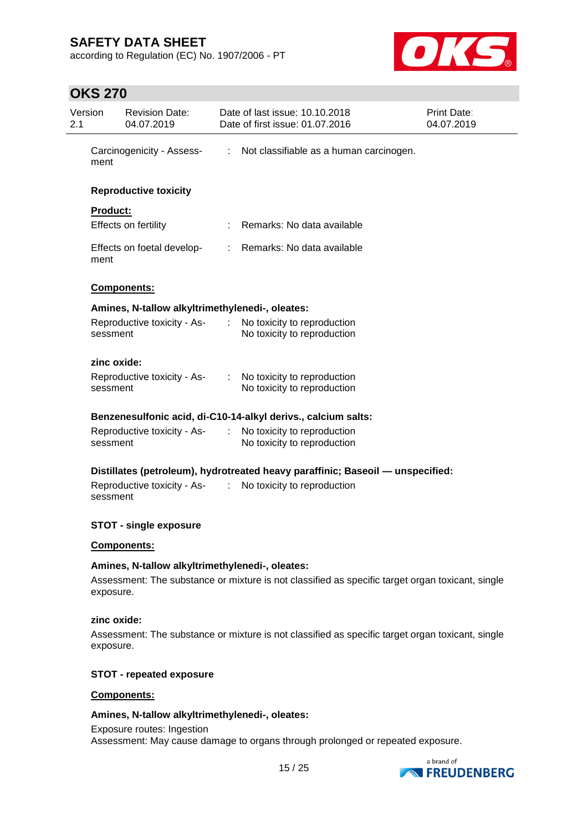according to Regulation (EC) No. 1907/2006 - PT



# **OKS 270**

| Carcinogenicity - Assess- : Not classifiable as a human carcinogen.<br>ment<br><b>Reproductive toxicity</b><br><b>Product:</b><br>Effects on fertility<br>: Remarks: No data available<br>: Remarks: No data available<br>Effects on foetal develop-<br>ment<br>Components:<br>Amines, N-tallow alkyltrimethylenedi-, oleates:<br>Reproductive toxicity - As- :<br>No toxicity to reproduction<br>No toxicity to reproduction<br>sessment<br>zinc oxide:<br>: No toxicity to reproduction<br>Reproductive toxicity - As-<br>No toxicity to reproduction<br>sessment |  |  |  |  |  |  |
|---------------------------------------------------------------------------------------------------------------------------------------------------------------------------------------------------------------------------------------------------------------------------------------------------------------------------------------------------------------------------------------------------------------------------------------------------------------------------------------------------------------------------------------------------------------------|--|--|--|--|--|--|
|                                                                                                                                                                                                                                                                                                                                                                                                                                                                                                                                                                     |  |  |  |  |  |  |
|                                                                                                                                                                                                                                                                                                                                                                                                                                                                                                                                                                     |  |  |  |  |  |  |
|                                                                                                                                                                                                                                                                                                                                                                                                                                                                                                                                                                     |  |  |  |  |  |  |
|                                                                                                                                                                                                                                                                                                                                                                                                                                                                                                                                                                     |  |  |  |  |  |  |
|                                                                                                                                                                                                                                                                                                                                                                                                                                                                                                                                                                     |  |  |  |  |  |  |
|                                                                                                                                                                                                                                                                                                                                                                                                                                                                                                                                                                     |  |  |  |  |  |  |
|                                                                                                                                                                                                                                                                                                                                                                                                                                                                                                                                                                     |  |  |  |  |  |  |
|                                                                                                                                                                                                                                                                                                                                                                                                                                                                                                                                                                     |  |  |  |  |  |  |
|                                                                                                                                                                                                                                                                                                                                                                                                                                                                                                                                                                     |  |  |  |  |  |  |
|                                                                                                                                                                                                                                                                                                                                                                                                                                                                                                                                                                     |  |  |  |  |  |  |
| Benzenesulfonic acid, di-C10-14-alkyl derivs., calcium salts:                                                                                                                                                                                                                                                                                                                                                                                                                                                                                                       |  |  |  |  |  |  |
| Reproductive toxicity - As- :<br>No toxicity to reproduction                                                                                                                                                                                                                                                                                                                                                                                                                                                                                                        |  |  |  |  |  |  |
| No toxicity to reproduction<br>sessment                                                                                                                                                                                                                                                                                                                                                                                                                                                                                                                             |  |  |  |  |  |  |
| Distillates (petroleum), hydrotreated heavy paraffinic; Baseoil - unspecified:                                                                                                                                                                                                                                                                                                                                                                                                                                                                                      |  |  |  |  |  |  |
| Reproductive toxicity - As- : No toxicity to reproduction<br>sessment                                                                                                                                                                                                                                                                                                                                                                                                                                                                                               |  |  |  |  |  |  |
| <b>STOT - single exposure</b>                                                                                                                                                                                                                                                                                                                                                                                                                                                                                                                                       |  |  |  |  |  |  |
| Components:                                                                                                                                                                                                                                                                                                                                                                                                                                                                                                                                                         |  |  |  |  |  |  |
| Amines, N-tallow alkyltrimethylenedi-, oleates:                                                                                                                                                                                                                                                                                                                                                                                                                                                                                                                     |  |  |  |  |  |  |
| Assessment: The substance or mixture is not classified as specific target organ toxicant, single<br>exposure.                                                                                                                                                                                                                                                                                                                                                                                                                                                       |  |  |  |  |  |  |
| zinc oxide:                                                                                                                                                                                                                                                                                                                                                                                                                                                                                                                                                         |  |  |  |  |  |  |
| Assessment: The substance or mixture is not classified as specific target organ toxicant, single<br>exposure.                                                                                                                                                                                                                                                                                                                                                                                                                                                       |  |  |  |  |  |  |

### **STOT - repeated exposure**

### **Components:**

### **Amines, N-tallow alkyltrimethylenedi-, oleates:**

Exposure routes: Ingestion Assessment: May cause damage to organs through prolonged or repeated exposure.

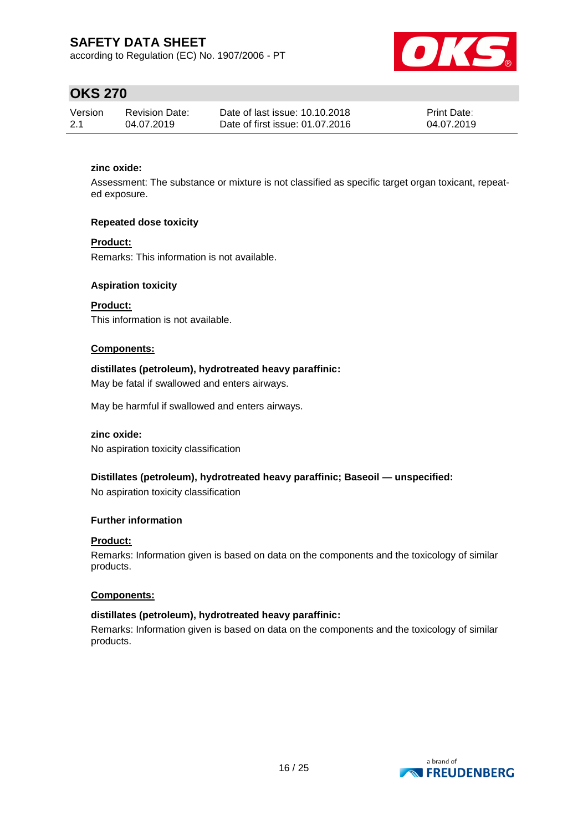according to Regulation (EC) No. 1907/2006 - PT



## **OKS 270**

| Version | Revision Date: | Date of last issue: 10.10.2018  | <b>Print Date:</b> |
|---------|----------------|---------------------------------|--------------------|
| 2.1     | 04.07.2019     | Date of first issue: 01.07.2016 | 04.07.2019         |

### **zinc oxide:**

Assessment: The substance or mixture is not classified as specific target organ toxicant, repeated exposure.

#### **Repeated dose toxicity**

### **Product:**

Remarks: This information is not available.

### **Aspiration toxicity**

**Product:** This information is not available.

#### **Components:**

### **distillates (petroleum), hydrotreated heavy paraffinic:**

May be fatal if swallowed and enters airways.

May be harmful if swallowed and enters airways.

#### **zinc oxide:**

No aspiration toxicity classification

#### **Distillates (petroleum), hydrotreated heavy paraffinic; Baseoil — unspecified:**

No aspiration toxicity classification

#### **Further information**

#### **Product:**

Remarks: Information given is based on data on the components and the toxicology of similar products.

#### **Components:**

#### **distillates (petroleum), hydrotreated heavy paraffinic:**

Remarks: Information given is based on data on the components and the toxicology of similar products.

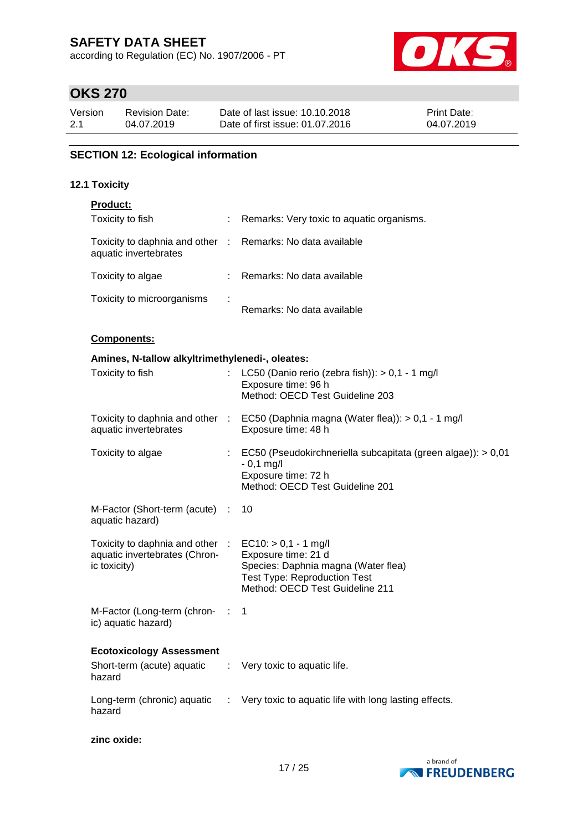according to Regulation (EC) No. 1907/2006 - PT



# **OKS 270**

| Version | <b>Revision Date:</b> | Date of last issue: 10.10.2018  | <b>Print Date:</b> |
|---------|-----------------------|---------------------------------|--------------------|
| 2.1     | 04.07.2019            | Date of first issue: 01.07.2016 | 04.07.2019         |

### **SECTION 12: Ecological information**

#### **12.1 Toxicity**

| <b>Product:</b>                                                                  |                                                                                                                                                                |
|----------------------------------------------------------------------------------|----------------------------------------------------------------------------------------------------------------------------------------------------------------|
| Toxicity to fish                                                                 | Remarks: Very toxic to aquatic organisms.                                                                                                                      |
| Toxicity to daphnia and other :<br>aquatic invertebrates                         | Remarks: No data available                                                                                                                                     |
| Toxicity to algae                                                                | Remarks: No data available                                                                                                                                     |
| Toxicity to microorganisms                                                       | Remarks: No data available                                                                                                                                     |
| <b>Components:</b>                                                               |                                                                                                                                                                |
| Amines, N-tallow alkyltrimethylenedi-, oleates:                                  |                                                                                                                                                                |
| Toxicity to fish                                                                 | LC50 (Danio rerio (zebra fish)): $> 0,1 - 1$ mg/l<br>Exposure time: 96 h<br>Method: OECD Test Guideline 203                                                    |
| aquatic invertebrates                                                            | Toxicity to daphnia and other : EC50 (Daphnia magna (Water flea)): > 0,1 - 1 mg/l<br>Exposure time: 48 h                                                       |
| Toxicity to algae                                                                | EC50 (Pseudokirchneriella subcapitata (green algae)): > 0,01<br>$-0,1$ mg/l<br>Exposure time: 72 h<br>Method: OECD Test Guideline 201                          |
| M-Factor (Short-term (acute) :<br>aquatic hazard)                                | 10                                                                                                                                                             |
| Toxicity to daphnia and other :<br>aquatic invertebrates (Chron-<br>ic toxicity) | $EC10:$ > 0,1 - 1 mg/l<br>Exposure time: 21 d<br>Species: Daphnia magna (Water flea)<br><b>Test Type: Reproduction Test</b><br>Method: OECD Test Guideline 211 |
| M-Factor (Long-term (chron- :<br>ic) aquatic hazard)                             | -1                                                                                                                                                             |
| <b>Ecotoxicology Assessment</b><br>Short-term (acute) aquatic<br>hazard          | : Very toxic to aquatic life.                                                                                                                                  |

**zinc oxide:**

hazard



Long-term (chronic) aquatic : Very toxic to aquatic life with long lasting effects.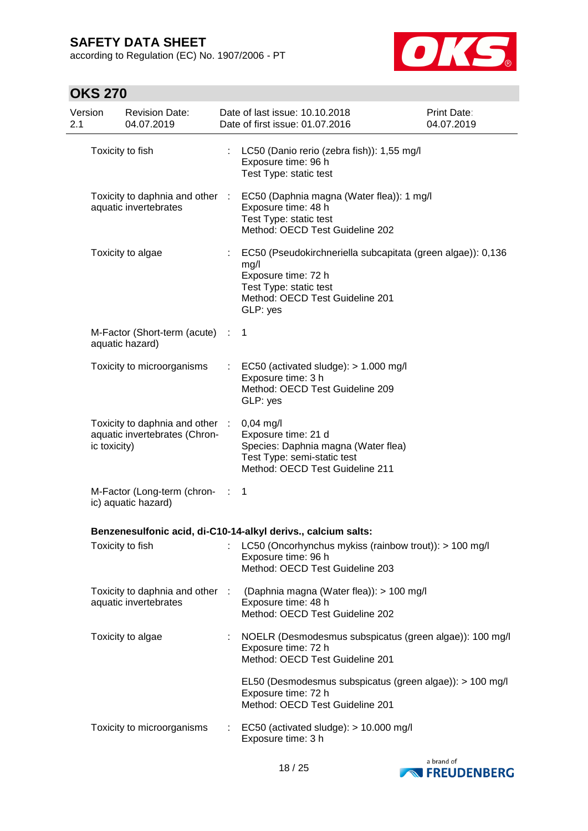according to Regulation (EC) No. 1907/2006 - PT



| Version<br>2.1 |              | <b>Revision Date:</b><br>04.07.2019                              | Date of last issue: 10.10.2018<br>Date of first issue: 01.07.2016                                                                                                   | <b>Print Date:</b><br>04.07.2019 |
|----------------|--------------|------------------------------------------------------------------|---------------------------------------------------------------------------------------------------------------------------------------------------------------------|----------------------------------|
|                |              | Toxicity to fish                                                 | LC50 (Danio rerio (zebra fish)): 1,55 mg/l<br>Exposure time: 96 h<br>Test Type: static test                                                                         |                                  |
|                |              | Toxicity to daphnia and other :<br>aquatic invertebrates         | EC50 (Daphnia magna (Water flea)): 1 mg/l<br>Exposure time: 48 h<br>Test Type: static test<br>Method: OECD Test Guideline 202                                       |                                  |
|                |              | Toxicity to algae                                                | EC50 (Pseudokirchneriella subcapitata (green algae)): 0,136<br>mg/l<br>Exposure time: 72 h<br>Test Type: static test<br>Method: OECD Test Guideline 201<br>GLP: yes |                                  |
|                |              | M-Factor (Short-term (acute) :<br>aquatic hazard)                | -1                                                                                                                                                                  |                                  |
|                |              | Toxicity to microorganisms                                       | EC50 (activated sludge): > 1.000 mg/l<br>Exposure time: 3 h<br>Method: OECD Test Guideline 209<br>GLP: yes                                                          |                                  |
|                | ic toxicity) | Toxicity to daphnia and other :<br>aquatic invertebrates (Chron- | $0,04$ mg/l<br>Exposure time: 21 d<br>Species: Daphnia magna (Water flea)<br>Test Type: semi-static test<br>Method: OECD Test Guideline 211                         |                                  |
|                |              | M-Factor (Long-term (chron- : 1<br>ic) aquatic hazard)           |                                                                                                                                                                     |                                  |
|                |              |                                                                  | Benzenesulfonic acid, di-C10-14-alkyl derivs., calcium salts:                                                                                                       |                                  |
|                |              | Toxicity to fish                                                 | : LC50 (Oncorhynchus mykiss (rainbow trout)): > 100 mg/l<br>Exposure time: 96 h<br>Method: OECD Test Guideline 203                                                  |                                  |
|                |              | Toxicity to daphnia and other :<br>aquatic invertebrates         | (Daphnia magna (Water flea)): > 100 mg/l<br>Exposure time: 48 h<br>Method: OECD Test Guideline 202                                                                  |                                  |
|                |              | Toxicity to algae                                                | NOELR (Desmodesmus subspicatus (green algae)): 100 mg/l<br>Exposure time: 72 h<br>Method: OECD Test Guideline 201                                                   |                                  |
|                |              |                                                                  | EL50 (Desmodesmus subspicatus (green algae)): > 100 mg/l<br>Exposure time: 72 h<br>Method: OECD Test Guideline 201                                                  |                                  |
|                |              | Toxicity to microorganisms                                       | EC50 (activated sludge): > 10.000 mg/l<br>Exposure time: 3 h                                                                                                        |                                  |

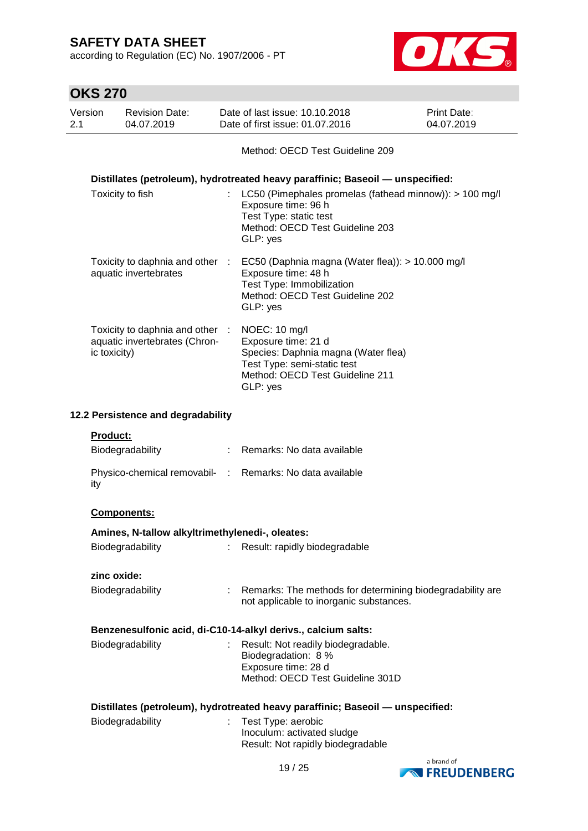according to Regulation (EC) No. 1907/2006 - PT



| <b>OKS 270</b>                                                                                                                                                                                                                                                |                                                               |                                                                  |                            |                                                                                                                                                           |                                  |  |  |
|---------------------------------------------------------------------------------------------------------------------------------------------------------------------------------------------------------------------------------------------------------------|---------------------------------------------------------------|------------------------------------------------------------------|----------------------------|-----------------------------------------------------------------------------------------------------------------------------------------------------------|----------------------------------|--|--|
| Version<br>2.1                                                                                                                                                                                                                                                |                                                               | <b>Revision Date:</b><br>04.07.2019                              |                            | Date of last issue: 10.10.2018<br>Date of first issue: 01.07.2016                                                                                         | <b>Print Date:</b><br>04.07.2019 |  |  |
|                                                                                                                                                                                                                                                               |                                                               |                                                                  |                            | Method: OECD Test Guideline 209                                                                                                                           |                                  |  |  |
| Distillates (petroleum), hydrotreated heavy paraffinic; Baseoil - unspecified:<br>Toxicity to fish<br>LC50 (Pimephales promelas (fathead minnow)): > 100 mg/l<br>Exposure time: 96 h<br>Test Type: static test<br>Method: OECD Test Guideline 203<br>GLP: yes |                                                               |                                                                  |                            |                                                                                                                                                           |                                  |  |  |
|                                                                                                                                                                                                                                                               |                                                               | Toxicity to daphnia and other :<br>aquatic invertebrates         |                            | EC50 (Daphnia magna (Water flea)): > 10.000 mg/l<br>Exposure time: 48 h<br>Test Type: Immobilization<br>Method: OECD Test Guideline 202<br>GLP: yes       |                                  |  |  |
|                                                                                                                                                                                                                                                               | ic toxicity)                                                  | Toxicity to daphnia and other :<br>aquatic invertebrates (Chron- |                            | NOEC: 10 mg/l<br>Exposure time: 21 d<br>Species: Daphnia magna (Water flea)<br>Test Type: semi-static test<br>Method: OECD Test Guideline 211<br>GLP: yes |                                  |  |  |
|                                                                                                                                                                                                                                                               |                                                               | 12.2 Persistence and degradability                               |                            |                                                                                                                                                           |                                  |  |  |
|                                                                                                                                                                                                                                                               | <b>Product:</b>                                               |                                                                  |                            |                                                                                                                                                           |                                  |  |  |
|                                                                                                                                                                                                                                                               |                                                               | Biodegradability                                                 | ÷                          | Remarks: No data available                                                                                                                                |                                  |  |  |
|                                                                                                                                                                                                                                                               | ity                                                           |                                                                  |                            | Physico-chemical removabil- : Remarks: No data available                                                                                                  |                                  |  |  |
|                                                                                                                                                                                                                                                               |                                                               | <b>Components:</b>                                               |                            |                                                                                                                                                           |                                  |  |  |
|                                                                                                                                                                                                                                                               |                                                               | Amines, N-tallow alkyltrimethylenedi-, oleates:                  |                            |                                                                                                                                                           |                                  |  |  |
|                                                                                                                                                                                                                                                               |                                                               | Biodegradability                                                 |                            | Result: rapidly biodegradable                                                                                                                             |                                  |  |  |
|                                                                                                                                                                                                                                                               | zinc oxide:                                                   |                                                                  |                            |                                                                                                                                                           |                                  |  |  |
|                                                                                                                                                                                                                                                               |                                                               | Biodegradability                                                 | $\mathcal{L}^{\text{max}}$ | Remarks: The methods for determining biodegradability are<br>not applicable to inorganic substances.                                                      |                                  |  |  |
|                                                                                                                                                                                                                                                               | Benzenesulfonic acid, di-C10-14-alkyl derivs., calcium salts: |                                                                  |                            |                                                                                                                                                           |                                  |  |  |
|                                                                                                                                                                                                                                                               |                                                               | Biodegradability                                                 |                            | Result: Not readily biodegradable.<br>Biodegradation: 8 %<br>Exposure time: 28 d<br>Method: OECD Test Guideline 301D                                      |                                  |  |  |
|                                                                                                                                                                                                                                                               |                                                               |                                                                  |                            | Distillates (petroleum), hydrotreated heavy paraffinic; Baseoil - unspecified:                                                                            |                                  |  |  |
|                                                                                                                                                                                                                                                               |                                                               | Biodegradability                                                 |                            | Test Type: aerobic<br>Inoculum: activated sludge<br>Result: Not rapidly biodegradable                                                                     |                                  |  |  |

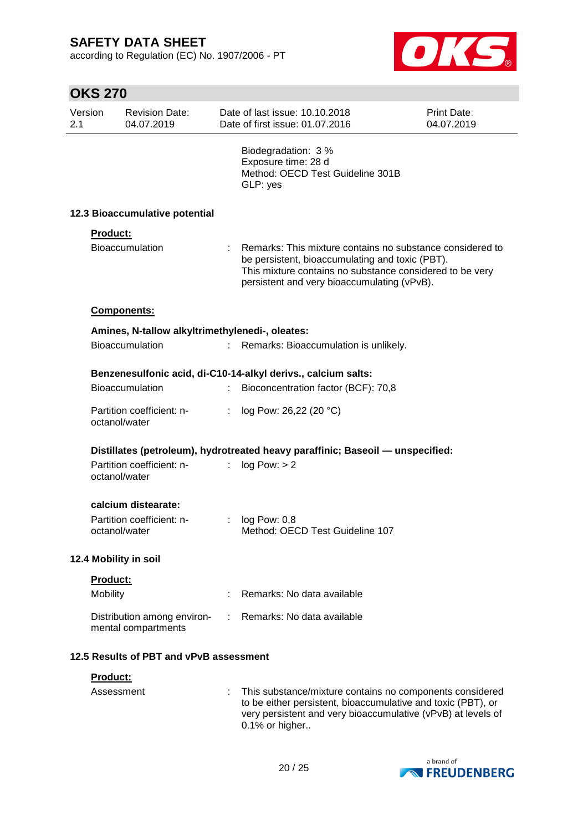according to Regulation (EC) No. 1907/2006 - PT



| Version<br>2.1 |                 | <b>Revision Date:</b><br>04.07.2019                |    | Date of last issue: 10.10.2018<br>Date of first issue: 01.07.2016                                                                                                                                                       | Print Date:<br>04.07.2019 |
|----------------|-----------------|----------------------------------------------------|----|-------------------------------------------------------------------------------------------------------------------------------------------------------------------------------------------------------------------------|---------------------------|
|                |                 |                                                    |    | Biodegradation: 3 %<br>Exposure time: 28 d<br>Method: OECD Test Guideline 301B<br>GLP: yes                                                                                                                              |                           |
|                |                 | 12.3 Bioaccumulative potential                     |    |                                                                                                                                                                                                                         |                           |
|                | Product:        |                                                    |    |                                                                                                                                                                                                                         |                           |
|                |                 | <b>Bioaccumulation</b>                             | t. | Remarks: This mixture contains no substance considered to<br>be persistent, bioaccumulating and toxic (PBT).<br>This mixture contains no substance considered to be very<br>persistent and very bioaccumulating (vPvB). |                           |
|                |                 | <b>Components:</b>                                 |    |                                                                                                                                                                                                                         |                           |
|                |                 | Amines, N-tallow alkyltrimethylenedi-, oleates:    |    |                                                                                                                                                                                                                         |                           |
|                |                 | <b>Bioaccumulation</b>                             |    | Remarks: Bioaccumulation is unlikely.                                                                                                                                                                                   |                           |
|                |                 |                                                    |    | Benzenesulfonic acid, di-C10-14-alkyl derivs., calcium salts:                                                                                                                                                           |                           |
|                |                 | <b>Bioaccumulation</b>                             |    | Bioconcentration factor (BCF): 70,8                                                                                                                                                                                     |                           |
|                |                 | Partition coefficient: n-<br>octanol/water         |    | log Pow: 26,22 (20 °C)                                                                                                                                                                                                  |                           |
|                |                 |                                                    |    | Distillates (petroleum), hydrotreated heavy paraffinic; Baseoil - unspecified:                                                                                                                                          |                           |
|                |                 | Partition coefficient: n-<br>octanol/water         |    | log Pow: > 2                                                                                                                                                                                                            |                           |
|                |                 | calcium distearate:                                |    |                                                                                                                                                                                                                         |                           |
|                |                 | Partition coefficient: n-<br>octanol/water         |    | log Pow: 0,8<br>Method: OECD Test Guideline 107                                                                                                                                                                         |                           |
|                |                 | 12.4 Mobility in soil                              |    |                                                                                                                                                                                                                         |                           |
|                | <b>Product:</b> |                                                    |    |                                                                                                                                                                                                                         |                           |
|                | Mobility        |                                                    |    | Remarks: No data available                                                                                                                                                                                              |                           |
|                |                 | Distribution among environ-<br>mental compartments |    | Remarks: No data available                                                                                                                                                                                              |                           |
|                |                 | 12.5 Results of PBT and vPvB assessment            |    |                                                                                                                                                                                                                         |                           |
|                | Product:        |                                                    |    |                                                                                                                                                                                                                         |                           |
|                | Assessment      |                                                    |    | This substance/mixture contains no components considered<br>to be either persistent, bioaccumulative and toxic (PBT), or<br>very persistent and very bioaccumulative (vPvB) at levels of<br>0.1% or higher              |                           |

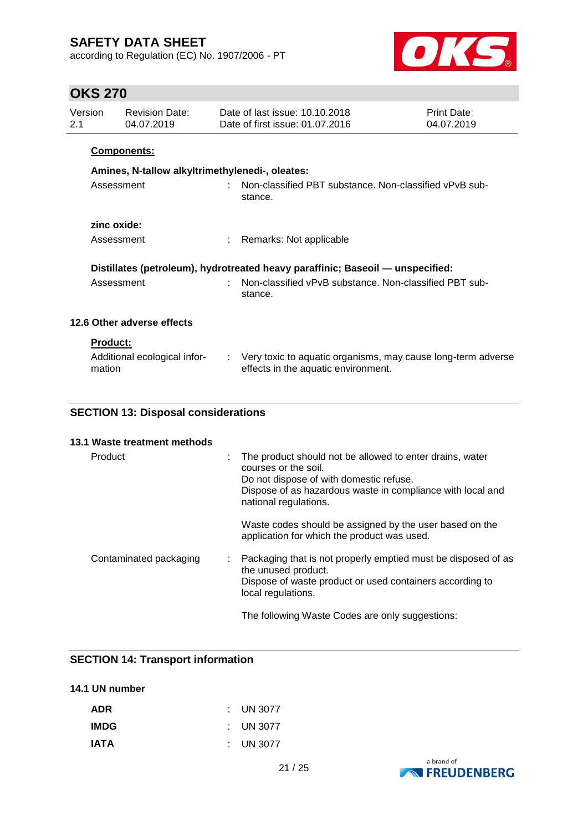according to Regulation (EC) No. 1907/2006 - PT



## **OKS 270**

| Version<br>2.1 |                            | <b>Revision Date:</b><br>04.07.2019             |                                                                                | Date of last issue: 10.10.2018<br>Date of first issue: 01.07.2016                                     | Print Date:<br>04.07.2019 |  |
|----------------|----------------------------|-------------------------------------------------|--------------------------------------------------------------------------------|-------------------------------------------------------------------------------------------------------|---------------------------|--|
|                |                            | <b>Components:</b>                              |                                                                                |                                                                                                       |                           |  |
|                |                            | Amines, N-tallow alkyltrimethylenedi-, oleates: |                                                                                |                                                                                                       |                           |  |
|                | Assessment                 |                                                 |                                                                                | Non-classified PBT substance. Non-classified vPvB sub-<br>stance.                                     |                           |  |
|                | zinc oxide:                |                                                 |                                                                                |                                                                                                       |                           |  |
|                | Assessment                 |                                                 |                                                                                | Remarks: Not applicable                                                                               |                           |  |
|                |                            |                                                 | Distillates (petroleum), hydrotreated heavy paraffinic; Baseoil - unspecified: |                                                                                                       |                           |  |
|                | Assessment                 |                                                 |                                                                                | Non-classified vPvB substance. Non-classified PBT sub-<br>stance.                                     |                           |  |
|                | 12.6 Other adverse effects |                                                 |                                                                                |                                                                                                       |                           |  |
|                | <b>Product:</b><br>mation  | Additional ecological infor-                    |                                                                                | : Very toxic to aquatic organisms, may cause long-term adverse<br>effects in the aquatic environment. |                           |  |

### **SECTION 13: Disposal considerations**

| 13.1 Waste treatment methods |                                                                                                                                                                                                                         |
|------------------------------|-------------------------------------------------------------------------------------------------------------------------------------------------------------------------------------------------------------------------|
| Product                      | The product should not be allowed to enter drains, water<br>÷<br>courses or the soil.<br>Do not dispose of with domestic refuse.<br>Dispose of as hazardous waste in compliance with local and<br>national regulations. |
|                              | Waste codes should be assigned by the user based on the<br>application for which the product was used.                                                                                                                  |
| Contaminated packaging       | Packaging that is not properly emptied must be disposed of as<br>the unused product.<br>Dispose of waste product or used containers according to<br>local regulations.                                                  |
|                              | The following Waste Codes are only suggestions:                                                                                                                                                                         |

### **SECTION 14: Transport information**

### **14.1 UN number**

| ADR  | $\therefore$ UN 3077 |
|------|----------------------|
| IMDG | $\therefore$ UN 3077 |
| IATA | $\therefore$ UN 3077 |

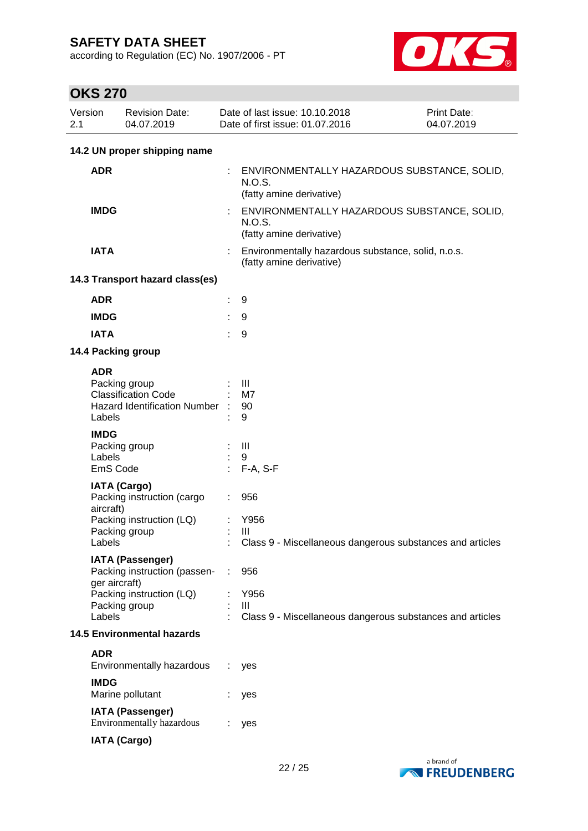according to Regulation (EC) No. 1907/2006 - PT



| Version<br>2.1 |                                   | <b>Revision Date:</b><br>04.07.2019                                                                  | Date of last issue: 10.10.2018<br>Date of first issue: 01.07.2016                 | Print Date:<br>04.07.2019 |
|----------------|-----------------------------------|------------------------------------------------------------------------------------------------------|-----------------------------------------------------------------------------------|---------------------------|
|                |                                   | 14.2 UN proper shipping name                                                                         |                                                                                   |                           |
|                | <b>ADR</b>                        |                                                                                                      | ENVIRONMENTALLY HAZARDOUS SUBSTANCE, SOLID,<br>N.O.S.<br>(fatty amine derivative) |                           |
|                | <b>IMDG</b>                       |                                                                                                      | ENVIRONMENTALLY HAZARDOUS SUBSTANCE, SOLID,<br>N.O.S.<br>(fatty amine derivative) |                           |
|                | <b>IATA</b>                       |                                                                                                      | Environmentally hazardous substance, solid, n.o.s.<br>(fatty amine derivative)    |                           |
|                |                                   | 14.3 Transport hazard class(es)                                                                      |                                                                                   |                           |
|                | <b>ADR</b>                        |                                                                                                      | 9                                                                                 |                           |
|                | <b>IMDG</b>                       |                                                                                                      | 9                                                                                 |                           |
|                | <b>IATA</b>                       |                                                                                                      | 9                                                                                 |                           |
|                |                                   | 14.4 Packing group                                                                                   |                                                                                   |                           |
|                | <b>ADR</b><br>Labels              | Packing group<br><b>Classification Code</b><br>Hazard Identification Number :                        | Ш<br>M7<br>90<br>9                                                                |                           |
|                | <b>IMDG</b><br>Labels<br>EmS Code | Packing group                                                                                        | $\mathbf{III}$<br>9<br>$F-A, S-F$                                                 |                           |
|                | aircraft)<br>Labels               | <b>IATA (Cargo)</b><br>Packing instruction (cargo<br>Packing instruction (LQ)<br>Packing group       | 956<br>Y956<br>III<br>Class 9 - Miscellaneous dangerous substances and articles   |                           |
|                | ger aircraft)<br>Labels           | <b>IATA (Passenger)</b><br>Packing instruction (passen-<br>Packing instruction (LQ)<br>Packing group | 956<br>Y956<br>Ш<br>Class 9 - Miscellaneous dangerous substances and articles     |                           |
|                |                                   | <b>14.5 Environmental hazards</b>                                                                    |                                                                                   |                           |
|                | <b>ADR</b>                        | Environmentally hazardous                                                                            | yes                                                                               |                           |
|                | <b>IMDG</b>                       | Marine pollutant                                                                                     | yes                                                                               |                           |
|                |                                   | <b>IATA (Passenger)</b><br>Environmentally hazardous                                                 | yes                                                                               |                           |
|                |                                   | <b>IATA (Cargo)</b>                                                                                  |                                                                                   |                           |

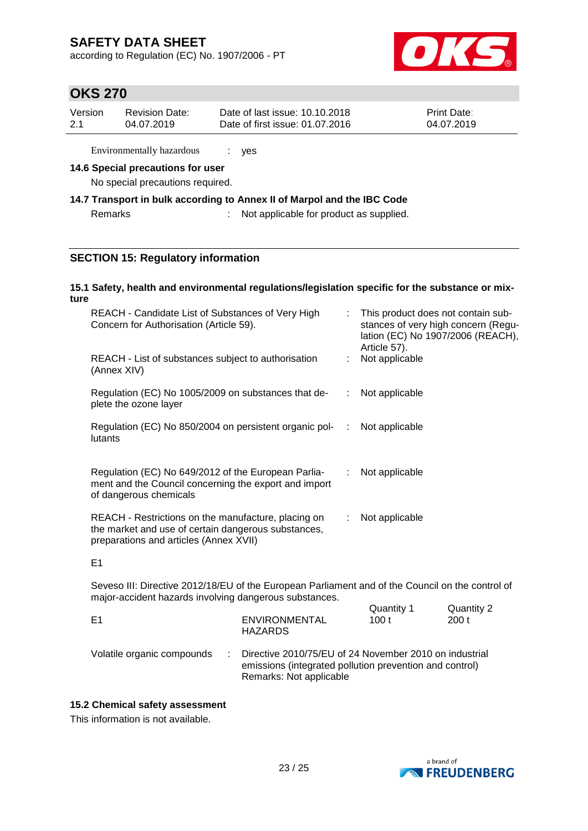according to Regulation (EC) No. 1907/2006 - PT



### **OKS 270**

| Version | <b>Revision Date:</b> | Date of last issue: 10.10.2018  | <b>Print Date:</b> |
|---------|-----------------------|---------------------------------|--------------------|
| 2.1     | 04.07.2019            | Date of first issue: 01.07.2016 | 04.07.2019         |
|         |                       |                                 |                    |

Environmentally hazardous : yes

#### **14.6 Special precautions for user**

No special precautions required.

#### **14.7 Transport in bulk according to Annex II of Marpol and the IBC Code**

Remarks : Not applicable for product as supplied.

### **SECTION 15: Regulatory information**

#### **15.1 Safety, health and environmental regulations/legislation specific for the substance or mixture**

| REACH - Candidate List of Substances of Very High<br>Concern for Authorisation (Article 59).                                                         | : This product does not contain sub-<br>stances of very high concern (Regu-<br>lation (EC) No 1907/2006 (REACH),<br>Article 57). |  |
|------------------------------------------------------------------------------------------------------------------------------------------------------|----------------------------------------------------------------------------------------------------------------------------------|--|
| REACH - List of substances subject to authorisation<br>(Annex XIV)                                                                                   | Not applicable                                                                                                                   |  |
| Regulation (EC) No 1005/2009 on substances that de-<br>plete the ozone layer                                                                         | $:$ Not applicable                                                                                                               |  |
| Regulation (EC) No 850/2004 on persistent organic pol-<br>lutants                                                                                    | Not applicable                                                                                                                   |  |
| Regulation (EC) No 649/2012 of the European Parlia-<br>ment and the Council concerning the export and import<br>of dangerous chemicals               | $:$ Not applicable                                                                                                               |  |
| REACH - Restrictions on the manufacture, placing on<br>the market and use of certain dangerous substances,<br>preparations and articles (Annex XVII) | $:$ Not applicable                                                                                                               |  |

#### E1

Seveso III: Directive 2012/18/EU of the European Parliament and of the Council on the control of major-accident hazards involving dangerous substances. Quantity 1 Quantity 2

| <b>F1</b>                  | ENVIRONMENTAL<br>HAZARDS                                                                                                                       | 100t | 200t |
|----------------------------|------------------------------------------------------------------------------------------------------------------------------------------------|------|------|
| Volatile organic compounds | : Directive 2010/75/EU of 24 November 2010 on industrial<br>emissions (integrated pollution prevention and control)<br>Remarks: Not applicable |      |      |

#### **15.2 Chemical safety assessment**

This information is not available.

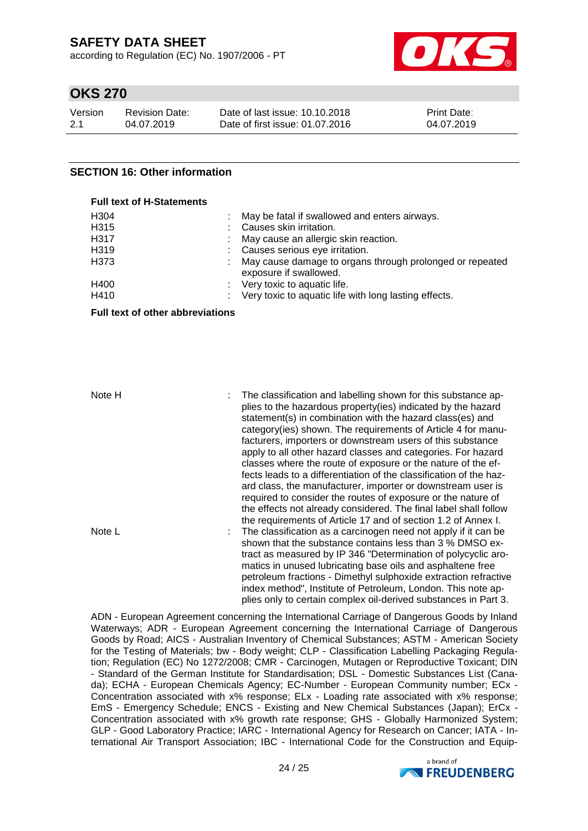according to Regulation (EC) No. 1907/2006 - PT



### **OKS 270**

| Version | Revision Date: | Date of last issue: 10.10.2018  | <b>Print Date:</b> |
|---------|----------------|---------------------------------|--------------------|
| 2.1     | 04.07.2019     | Date of first issue: 01.07.2016 | 04.07.2019         |

### **SECTION 16: Other information**

| <b>Full text of H-Statements</b> |                                                                                    |
|----------------------------------|------------------------------------------------------------------------------------|
| H <sub>304</sub>                 | May be fatal if swallowed and enters airways.                                      |
| H315                             | Causes skin irritation.                                                            |
| H317                             | : May cause an allergic skin reaction.                                             |
| H319                             | : Causes serious eye irritation.                                                   |
| H373                             | May cause damage to organs through prolonged or repeated<br>exposure if swallowed. |
| H400                             | : Very toxic to aquatic life.                                                      |
| H410                             | : Very toxic to aquatic life with long lasting effects.                            |

**Full text of other abbreviations**

Note H : The classification and labelling shown for this substance applies to the hazardous property(ies) indicated by the hazard statement(s) in combination with the hazard class(es) and category(ies) shown. The requirements of Article 4 for manufacturers, importers or downstream users of this substance apply to all other hazard classes and categories. For hazard classes where the route of exposure or the nature of the effects leads to a differentiation of the classification of the hazard class, the manufacturer, importer or downstream user is required to consider the routes of exposure or the nature of the effects not already considered. The final label shall follow the requirements of Article 17 and of section 1.2 of Annex I. Note L **interpretent in the classification as a carcinogen need not apply if it can be** shown that the substance contains less than 3 % DMSO extract as measured by IP 346 "Determination of polycyclic aromatics in unused lubricating base oils and asphaltene free petroleum fractions - Dimethyl sulphoxide extraction refractive index method", Institute of Petroleum, London. This note applies only to certain complex oil-derived substances in Part 3.

ADN - European Agreement concerning the International Carriage of Dangerous Goods by Inland Waterways; ADR - European Agreement concerning the International Carriage of Dangerous Goods by Road; AICS - Australian Inventory of Chemical Substances; ASTM - American Society for the Testing of Materials; bw - Body weight; CLP - Classification Labelling Packaging Regulation; Regulation (EC) No 1272/2008; CMR - Carcinogen, Mutagen or Reproductive Toxicant; DIN - Standard of the German Institute for Standardisation; DSL - Domestic Substances List (Canada); ECHA - European Chemicals Agency; EC-Number - European Community number; ECx - Concentration associated with x% response; ELx - Loading rate associated with x% response; EmS - Emergency Schedule; ENCS - Existing and New Chemical Substances (Japan); ErCx - Concentration associated with x% growth rate response; GHS - Globally Harmonized System; GLP - Good Laboratory Practice; IARC - International Agency for Research on Cancer; IATA - International Air Transport Association; IBC - International Code for the Construction and Equip-